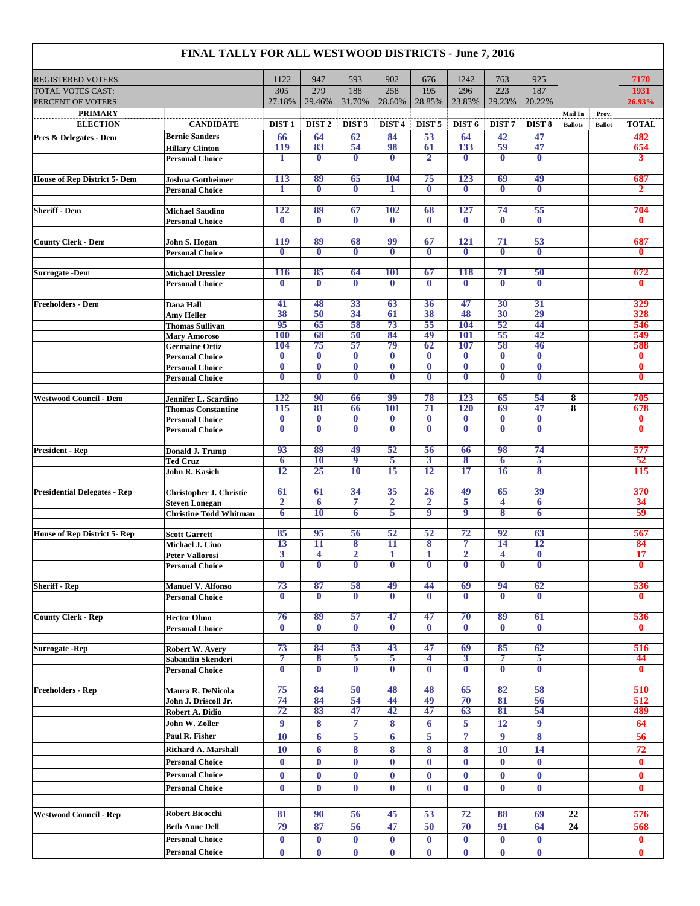|                                                       | FINAL TALLY FOR ALL WESTWOOD DISTRICTS - June 7, 2016 |                                     |                                     |                                                    |                         |                                         |                                     |                                     |                              |                           |                        |                               |
|-------------------------------------------------------|-------------------------------------------------------|-------------------------------------|-------------------------------------|----------------------------------------------------|-------------------------|-----------------------------------------|-------------------------------------|-------------------------------------|------------------------------|---------------------------|------------------------|-------------------------------|
| <b>REGISTERED VOTERS:</b><br><b>TOTAL VOTES CAST:</b> |                                                       | 1122                                | 947                                 | 593                                                | 902                     | 676                                     | 1242                                | 763                                 | 925                          |                           |                        | 7170                          |
|                                                       |                                                       | 305                                 | 279                                 | 188                                                | 258                     | 195                                     | 296                                 | 223                                 | 187                          |                           |                        | 1931                          |
| PERCENT OF VOTERS:                                    |                                                       | 27.18%                              | 29.46%                              | 31.70%                                             | 28.60%                  | 28.85%                                  | 23.83%                              | 29.23%                              | 20.22%                       |                           |                        | 26.93%                        |
| <b>PRIMARY</b><br><b>ELECTION</b>                     | <b>CANDIDATE</b>                                      | DIST <sub>1</sub>                   | DIST <sub>2</sub>                   | DIST <sub>3</sub>                                  | DIST <sub>4</sub>       | DIST <sub>5</sub>                       | DIST <sub>6</sub>                   | DIST <sub>7</sub>                   | DIST <sub>8</sub>            | Mail In<br><b>Ballots</b> | Prov.<br><b>Ballot</b> | <b>TOTAL</b>                  |
| Pres & Delegates - Dem                                | <b>Bernie Sanders</b>                                 | 66                                  | 64                                  | 62                                                 | 84                      | 53                                      | 64                                  | 42                                  | 47                           |                           |                        | 482                           |
|                                                       | <b>Hillary Clinton</b>                                | <b>119</b>                          | 83                                  | 54                                                 | 98                      | 61                                      | 133                                 | 59                                  | 47                           |                           |                        | 654                           |
|                                                       | <b>Personal Choice</b>                                | 1                                   | $\bf{0}$                            | $\overline{\mathbf{0}}$                            | $\bf{0}$                | $\overline{2}$                          | $\bf{0}$                            | $\bf{0}$                            | $\bf{0}$                     |                           |                        | 3                             |
| <b>House of Rep District 5- Dem</b>                   | <b>Joshua Gottheimer</b>                              | 113                                 | 89                                  | 65                                                 | 104                     | 75                                      | 123                                 | 69                                  | 49                           |                           |                        | 687                           |
|                                                       | <b>Personal Choice</b>                                | 1                                   | $\overline{\mathbf{0}}$             | $\overline{\mathbf{0}}$                            | 1                       | $\overline{\mathbf{0}}$                 | $\bf{0}$                            | $\overline{\mathbf{0}}$             | $\overline{\mathbf{0}}$      |                           |                        | $\mathbf{2}$                  |
|                                                       |                                                       | 122                                 | 89                                  | 67                                                 | <b>102</b>              |                                         | 127                                 | 74                                  | 55                           |                           |                        |                               |
| <b>Sheriff - Dem</b>                                  | <b>Michael Saudino</b><br><b>Personal Choice</b>      | $\bf{0}$                            | $\bf{0}$                            | $\bf{0}$                                           | $\bf{0}$                | 68<br>$\bf{0}$                          | $\bf{0}$                            | $\bf{0}$                            | $\bf{0}$                     |                           |                        | 704<br>$\bf{0}$               |
|                                                       |                                                       |                                     |                                     |                                                    |                         |                                         |                                     |                                     |                              |                           |                        |                               |
| <b>County Clerk - Dem</b>                             | John S. Hogan                                         | <b>119</b><br>$\mathbf 0$           | 89                                  | 68                                                 | 99<br>$\overline{0}$    | 67<br>$\mathbf{0}$                      | <b>121</b><br>$\mathbf 0$           | 71<br>$\bf{0}$                      | 53<br>$\overline{0}$         |                           |                        | 687<br>$\mathbf{0}$           |
|                                                       | <b>Personal Choice</b>                                |                                     | $\bf{0}$                            | $\bf{0}$                                           |                         |                                         |                                     |                                     |                              |                           |                        |                               |
| <b>Surrogate -Dem</b>                                 | <b>Michael Dressler</b>                               | <b>116</b>                          | 85                                  | 64                                                 | <b>101</b>              | 67                                      | <b>118</b>                          | 71                                  | 50                           |                           |                        | 672                           |
|                                                       | <b>Personal Choice</b>                                | $\bf{0}$                            | $\overline{\mathbf{0}}$             | $\overline{\mathbf{0}}$                            | $\bf{0}$                | $\bf{0}$                                | $\mathbf{0}$                        | $\bf{0}$                            | $\bf{0}$                     |                           |                        | $\bf{0}$                      |
| <b>Freeholders - Dem</b>                              | Dana Hall                                             | 41                                  | 48                                  | 33                                                 | 63                      | 36                                      | 47                                  | 30                                  | 31                           |                           |                        | 329                           |
|                                                       | Amy Heller                                            | 38                                  | 50                                  | 34                                                 | 61                      | 38                                      | 48                                  | 30                                  | 29                           |                           |                        | 328                           |
|                                                       | <b>Thomas Sullivan</b>                                | 95                                  | 65                                  | 58                                                 | 73                      | 55                                      | <b>104</b>                          | 52                                  | 44                           |                           |                        | 546                           |
|                                                       | <b>Mary Amoroso</b><br><b>Germaine Ortiz</b>          | <b>100</b><br>104                   | 68<br>75                            | 50<br>57                                           | 84<br>79                | 49<br>62                                | <b>101</b><br>107                   | 55<br>58                            | 42<br>46                     |                           |                        | 549<br>588                    |
|                                                       | <b>Personal Choice</b>                                | $\bf{0}$                            | $\bf{0}$                            | $\bf{0}$                                           | $\bf{0}$                | $\bf{0}$                                | $\bf{0}$                            | $\bf{0}$                            | $\bf{0}$                     |                           |                        | $\bf{0}$                      |
|                                                       | <b>Personal Choice</b>                                | $\bf{0}$                            | $\bf{0}$                            | $\bf{0}$                                           | $\bf{0}$                | $\boldsymbol{0}$                        | $\overline{\mathbf{0}}$             | $\overline{\mathbf{0}}$             | $\overline{\mathbf{0}}$      |                           |                        | $\bf{0}$                      |
|                                                       | <b>Personal Choice</b>                                | $\bf{0}$                            | $\bf{0}$                            | $\bf{0}$                                           | $\bf{0}$                | $\bf{0}$                                | $\mathbf{0}$                        | $\bf{0}$                            | $\bf{0}$                     |                           |                        | $\bf{0}$                      |
| <b>Westwood Council - Dem</b>                         | Jennifer L. Scardino                                  | 122                                 | 90                                  | 66                                                 | 99                      | 78                                      | 123                                 | 65                                  | 54                           | 8                         |                        | 705                           |
|                                                       | <b>Thomas Constantine</b>                             | 115                                 | 81                                  | 66                                                 | 101                     | 71                                      | 120                                 | 69                                  | 47                           | 8                         |                        | 678                           |
|                                                       | <b>Personal Choice</b>                                | $\bf{0}$<br>$\overline{\mathbf{0}}$ | $\bf{0}$<br>$\overline{\mathbf{0}}$ | $\bf{0}$<br>$\overline{\mathbf{0}}$                | $\bf{0}$<br>$\bf{0}$    | $\bf{0}$<br>$\overline{\mathbf{0}}$     | $\bf{0}$<br>$\overline{\mathbf{0}}$ | $\bf{0}$<br>$\overline{\mathbf{0}}$ | $\bf{0}$<br>$\bf{0}$         |                           |                        | $\bf{0}$<br>$\bf{0}$          |
|                                                       | <b>Personal Choice</b>                                |                                     |                                     |                                                    |                         |                                         |                                     |                                     |                              |                           |                        |                               |
| <b>President - Rep</b>                                | Donald J. Trump                                       | 93                                  | 89                                  | 49                                                 | 52                      | 56                                      | 66                                  | 98                                  | 74                           |                           |                        | 577                           |
|                                                       | <b>Ted Cruz</b>                                       | 6<br>12                             | <b>10</b><br>25                     | $\overline{9}$<br><b>10</b>                        | 5<br>15                 | 3<br>12                                 | 8<br>17                             | 6<br>16                             | 5<br>8                       |                           |                        | 52<br>115                     |
|                                                       | John R. Kasich                                        |                                     |                                     |                                                    |                         |                                         |                                     |                                     |                              |                           |                        |                               |
| <b>Presidential Delegates - Rep</b>                   | Christopher J. Christie                               | 61                                  | 61                                  | 34                                                 | 35                      | <b>26</b>                               | 49                                  | 65                                  | 39                           |                           |                        | 370                           |
|                                                       | <b>Steven Lonegan</b>                                 | $\overline{\mathbf{2}}$             | 6                                   | 7                                                  | $\mathbf{2}$            | $\overline{2}$<br>9                     | 5<br>9                              | 4                                   | 6                            |                           |                        | 34                            |
|                                                       | <b>Christine Todd Whitman</b>                         | 6                                   | 10                                  | 6                                                  | 5                       |                                         |                                     | 8                                   | 6                            |                           |                        | 59                            |
| <b>House of Rep District 5- Rep</b>                   | <b>Scott Garrett</b>                                  | 85                                  | 95                                  | 56                                                 | 52                      | 52                                      | 72                                  | 92                                  | 63                           |                           |                        | 567                           |
|                                                       | Michael J. Cino                                       | 13                                  | 11                                  | 8                                                  | 11                      | 8                                       | 7                                   | 14                                  | 12                           |                           |                        | 84                            |
|                                                       | <b>Peter Vallorosi</b><br><b>Personal Choice</b>      | 3<br>$\bf{0}$                       | 4<br>$\bf{0}$                       | $\overline{\mathbf{2}}$<br>$\overline{\mathbf{0}}$ | 1<br>$\bf{0}$           | $\mathbf{1}$<br>$\overline{\mathbf{0}}$ | $\overline{\mathbf{2}}$<br>$\bf{0}$ | 4<br>$\bf{0}$                       | $\boldsymbol{0}$<br>$\bf{0}$ |                           |                        | 17<br>$\overline{\mathbf{0}}$ |
|                                                       |                                                       |                                     |                                     |                                                    |                         |                                         |                                     |                                     |                              |                           |                        |                               |
| <b>Sheriff - Rep</b>                                  | <b>Manuel V. Alfonso</b>                              | 73                                  | 87                                  | 58                                                 | 49                      | 44                                      | 69                                  | 94                                  | 62                           |                           |                        | 536                           |
|                                                       | <b>Personal Choice</b>                                | $\bf{0}$                            | $\bf{0}$                            | $\bf{0}$                                           | $\overline{\mathbf{0}}$ | $\overline{\mathbf{0}}$                 | $\overline{\mathbf{0}}$             | $\bf{0}$                            | $\overline{\mathbf{0}}$      |                           |                        | $\mathbf{0}$                  |
| <b>County Clerk - Rep</b>                             | <b>Hector Olmo</b>                                    | 76                                  | 89                                  | 57                                                 | 47                      | 47                                      | 70                                  | 89                                  | 61                           |                           |                        | 536                           |
|                                                       | <b>Personal Choice</b>                                | $\bf{0}$                            | $\bf{0}$                            | $\overline{\mathbf{0}}$                            | $\bf{0}$                | $\bf{0}$                                | $\overline{\mathbf{0}}$             | $\bf{0}$                            | $\bf{0}$                     |                           |                        | $\bf{0}$                      |
| Surrogate - Rep                                       | Robert W. Avery                                       | 73                                  | 84                                  | 53                                                 | 43                      | 47                                      | 69                                  | 85                                  | 62                           |                           |                        | 516                           |
|                                                       | Sabaudin Skenderi                                     | 7                                   | 8                                   | 5                                                  | 5                       | 4                                       | 3                                   |                                     | 5                            |                           |                        | 44                            |
|                                                       | <b>Personal Choice</b>                                | $\bf{0}$                            | $\bf{0}$                            | $\bf{0}$                                           | $\bf{0}$                | $\bf{0}$                                | $\bf{0}$                            | $\bf{0}$                            | $\boldsymbol{0}$             |                           |                        | $\bf{0}$                      |
| <b>Freeholders - Rep</b>                              | Maura R. DeNicola                                     | 75                                  | 84                                  | 50                                                 | 48                      | 48                                      | 65                                  | 82                                  | 58                           |                           |                        | 510                           |
|                                                       | John J. Driscoll Jr.                                  | 74                                  | 84                                  | 54                                                 | 44                      | 49                                      | 70                                  | 81                                  | 56                           |                           |                        | 512                           |
|                                                       | Robert A. Didio                                       | 72                                  | 83                                  | 47                                                 | 42                      | 47                                      | 63                                  | 81                                  | 54                           |                           |                        | 489                           |
|                                                       | John W. Zoller                                        | $\boldsymbol{9}$                    | $\bf{8}$                            | $\overline{7}$                                     | 8                       | 6                                       | 5                                   | 12                                  | 9                            |                           |                        | 64                            |
|                                                       | Paul R. Fisher                                        | <b>10</b>                           | 6                                   | 5                                                  | 6                       | 5                                       | 7                                   | 9                                   | 8                            |                           |                        | 56                            |
|                                                       | Richard A. Marshall                                   | <b>10</b>                           | 6                                   | $\bf{8}$                                           | 8                       | 8                                       | 8                                   | 10                                  | 14                           |                           |                        | 72                            |
|                                                       | <b>Personal Choice</b>                                | $\bf{0}$                            | $\bf{0}$                            | $\boldsymbol{0}$                                   | $\bf{0}$                | $\bf{0}$                                | $\bf{0}$                            | $\bf{0}$                            | $\bf{0}$                     |                           |                        | $\bf{0}$                      |
|                                                       | <b>Personal Choice</b>                                | $\bf{0}$                            | $\bf{0}$                            | $\bf{0}$                                           | $\bf{0}$                | $\bf{0}$                                | $\bf{0}$                            | $\bf{0}$                            | $\bf{0}$                     |                           |                        | $\bf{0}$                      |
|                                                       | <b>Personal Choice</b>                                | $\bf{0}$                            | $\bf{0}$                            | $\bf{0}$                                           | $\bf{0}$                | $\bf{0}$                                | $\bf{0}$                            | $\bf{0}$                            | $\bf{0}$                     |                           |                        | $\bf{0}$                      |
|                                                       |                                                       |                                     |                                     |                                                    |                         |                                         |                                     |                                     |                              |                           |                        |                               |
| <b>Westwood Council - Rep</b>                         | <b>Robert Bicocchi</b><br><b>Beth Anne Dell</b>       | 81<br>79                            | 90<br>87                            | 56<br>56                                           | 45<br>47                | 53<br>50                                | 72<br>70                            | 88<br>91                            | 69<br>64                     | 22<br>24                  |                        | 576<br>568                    |
|                                                       |                                                       | $\bf{0}$                            | $\bf{0}$                            | $\bf{0}$                                           | $\bf{0}$                | $\bf{0}$                                | $\bf{0}$                            | $\bf{0}$                            | $\bf{0}$                     |                           |                        | $\bf{0}$                      |
|                                                       | <b>Personal Choice</b>                                |                                     |                                     |                                                    |                         |                                         |                                     |                                     |                              |                           |                        |                               |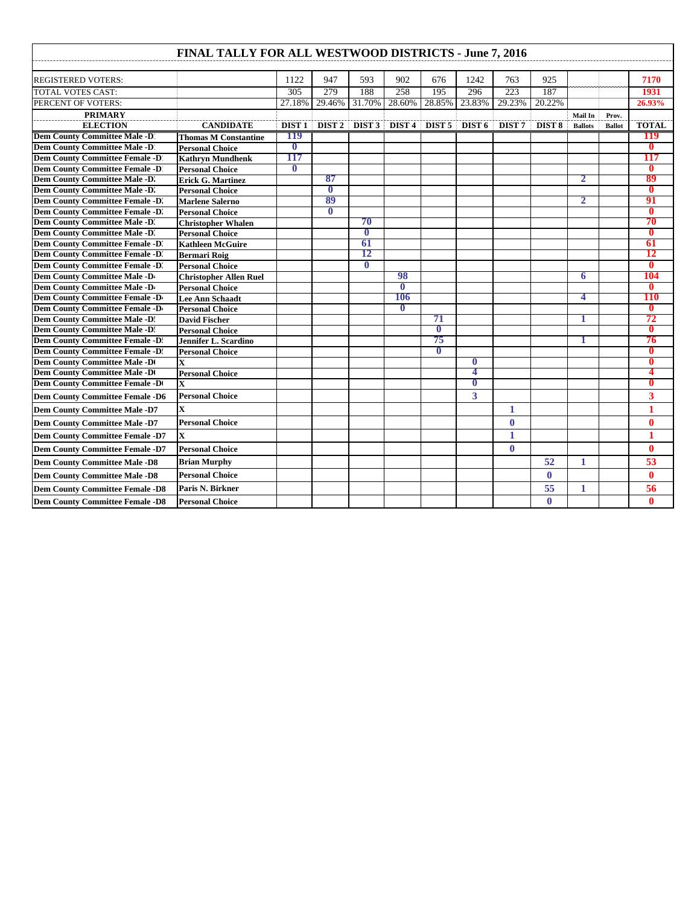## **FINAL TALLY FOR ALL WESTWOOD DISTRICTS - June 7, 2016**

| FINAL TALLY FOR ALL WESTWOOD DISTRICTS - June 7, 2016 |                               |                   |                   |                   |                   |               |               |                   |                   |                |               |                         |
|-------------------------------------------------------|-------------------------------|-------------------|-------------------|-------------------|-------------------|---------------|---------------|-------------------|-------------------|----------------|---------------|-------------------------|
| <b>REGISTERED VOTERS:</b>                             |                               | 1122              | 947               | 593               | 902               | 676           | 1242          | 763               | 925               |                |               | 7170                    |
| <b>TOTAL VOTES CAST:</b>                              |                               | 305               | 279               | 188               | 258               | 195           | 296           | 223               | 187               |                |               | 1931                    |
| PERCENT OF VOTERS:                                    |                               | 27.18%            | 29.46%            | 31.70%            | 28.60%            | 28.85%        | 23.83%        | 29.23%            | 20.22%            |                |               | 26.93%                  |
| <b>PRIMARY</b>                                        |                               |                   |                   |                   |                   |               |               |                   |                   | Mail In        | Prov.         |                         |
| <b>ELECTION</b>                                       | <b>CANDIDATE</b>              | DIST <sub>1</sub> | DIST <sub>2</sub> | DIST <sub>3</sub> | DIST <sub>4</sub> | DIST 5 DIST 6 |               | DIST <sub>7</sub> | DIST <sub>8</sub> | <b>Ballots</b> | <b>Ballot</b> | <b>TOTAL</b>            |
| <b>Dem County Committee Male -D</b>                   | <b>Thomas M Constantine</b>   | 119               |                   |                   |                   |               |               |                   |                   |                |               | 119                     |
| <b>Dem County Committee Male -D</b>                   | <b>Personal Choice</b>        | $\bf{0}$          |                   |                   |                   |               |               |                   |                   |                |               | $\mathbf{0}$            |
| <b>Dem County Committee Female -D</b>                 | <b>Kathryn Mundhenk</b>       | 117               |                   |                   |                   |               |               |                   |                   |                |               | 117                     |
| <b>Dem County Committee Female -D</b>                 | <b>Personal Choice</b>        | $\bf{0}$          |                   |                   |                   |               |               |                   |                   |                |               | $\mathbf{0}$            |
| Dem County Committee Male -D'                         | <b>Erick G. Martinez</b>      |                   | 87                |                   |                   |               |               |                   |                   | 2              |               | 89                      |
| Dem County Committee Male -D'.                        | <b>Personal Choice</b>        |                   | $\overline{0}$    |                   |                   |               |               |                   |                   |                |               | $\mathbf{0}$            |
| <b>Dem County Committee Female -D</b>                 | <b>Marlene Salerno</b>        |                   | 89                |                   |                   |               |               |                   |                   | 2              |               | 91                      |
| <b>Dem County Committee Female -D</b>                 | <b>Personal Choice</b>        |                   | $\mathbf{0}$      |                   |                   |               |               |                   |                   |                |               | $\mathbf{0}$            |
| Dem County Committee Male -D.                         | <b>Christopher Whalen</b>     |                   |                   | 70                |                   |               |               |                   |                   |                |               | 70                      |
| Dem County Committee Male -D.                         | <b>Personal Choice</b>        |                   |                   | $\bf{0}$          |                   |               |               |                   |                   |                |               | $\mathbf{0}$            |
| <b>Dem County Committee Female -D.</b>                | <b>Kathleen McGuire</b>       |                   |                   | 61                |                   |               |               |                   |                   |                |               | 61                      |
| <b>Dem County Committee Female -D.</b>                | <b>Bermari Roig</b>           |                   |                   | 12                |                   |               |               |                   |                   |                |               | 12                      |
| <b>Dem County Committee Female -D.</b>                | <b>Personal Choice</b>        |                   |                   | $\overline{0}$    |                   |               |               |                   |                   |                |               | $\overline{\mathbf{0}}$ |
| Dem County Committee Male -D                          | <b>Christopher Allen Ruel</b> |                   |                   |                   | 98                |               |               |                   |                   | 6              |               | 104                     |
| Dem County Committee Male -D                          | <b>Personal Choice</b>        |                   |                   |                   | $\bf{0}$          |               |               |                   |                   |                |               | $\mathbf{0}$            |
| <b>Dem County Committee Female -D</b>                 | Lee Ann Schaadt               |                   |                   |                   | 106               |               |               |                   |                   | 4              |               | <b>110</b>              |
| <b>Dem County Committee Female -D</b>                 | <b>Personal Choice</b>        |                   |                   |                   | $\mathbf{0}$      |               |               |                   |                   |                |               | $\mathbf{0}$            |
| <b>Dem County Committee Male -D:</b>                  | <b>David Fischer</b>          |                   |                   |                   |                   | 71            |               |                   |                   | 1              |               | 72                      |
| <b>Dem County Committee Male -D:</b>                  | <b>Personal Choice</b>        |                   |                   |                   |                   | $\mathbf{0}$  |               |                   |                   |                |               | $\bf{0}$                |
| <b>Dem County Committee Female -D.</b>                | <b>Jennifer L. Scardino</b>   |                   |                   |                   |                   | 75            |               |                   |                   |                |               | 76                      |
| <b>Dem County Committee Female -D.</b>                | <b>Personal Choice</b>        |                   |                   |                   |                   | $\bf{0}$      |               |                   |                   |                |               | 0                       |
| <b>Dem County Committee Male -De</b>                  | X                             |                   |                   |                   |                   |               | $\bf{0}$<br>4 |                   |                   |                |               | $\mathbf{0}$            |
| <b>Dem County Committee Male -Do</b>                  | <b>Personal Choice</b>        |                   |                   |                   |                   |               | 0             |                   |                   |                |               | 4<br>0                  |
| <b>Dem County Committee Female -D</b>                 | $\overline{\mathbf{x}}$       |                   |                   |                   |                   |               |               |                   |                   |                |               |                         |
| <b>Dem County Committee Female -D6</b>                | <b>Personal Choice</b>        |                   |                   |                   |                   |               | 3             |                   |                   |                |               | 3                       |
| <b>Dem County Committee Male -D7</b>                  | $\mathbf{x}$                  |                   |                   |                   |                   |               |               | 1                 |                   |                |               | 1                       |
| <b>Dem County Committee Male -D7</b>                  | <b>Personal Choice</b>        |                   |                   |                   |                   |               |               | $\mathbf{0}$      |                   |                |               | 0                       |
| <b>Dem County Committee Female -D7</b>                | $\overline{\mathbf{x}}$       |                   |                   |                   |                   |               |               | 1                 |                   |                |               | 1                       |
| <b>Dem County Committee Female -D7</b>                | <b>Personal Choice</b>        |                   |                   |                   |                   |               |               | $\bf{0}$          |                   |                |               | $\bf{0}$                |
| <b>Dem County Committee Male -D8</b>                  | <b>Brian Murphy</b>           |                   |                   |                   |                   |               |               |                   | 52                | 1              |               | 53                      |
| <b>Dem County Committee Male -D8</b>                  | <b>Personal Choice</b>        |                   |                   |                   |                   |               |               |                   | $\mathbf{0}$      |                |               | $\mathbf{0}$            |
| <b>Dem County Committee Female -D8</b>                | Paris N. Birkner              |                   |                   |                   |                   |               |               |                   | 55                | 1              |               | 56                      |
| <b>Dem County Committee Female -D8</b>                | <b>Personal Choice</b>        |                   |                   |                   |                   |               |               |                   | $\bf{0}$          |                |               | $\mathbf{0}$            |